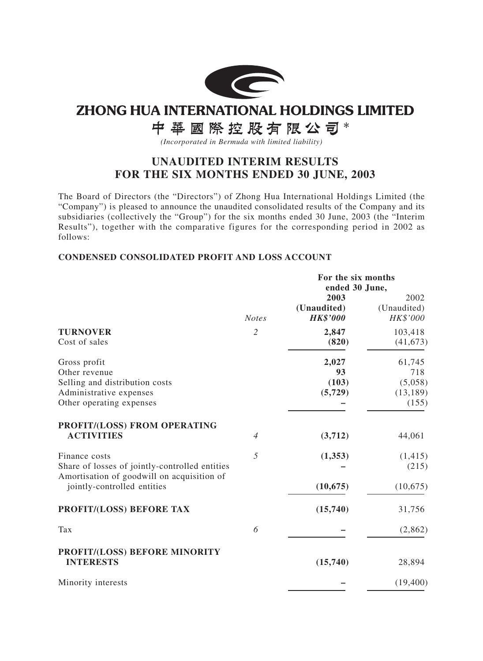

# **ZHONG HUA INTERNATIONAL HOLDINGS LIMITED**

# 中華國際控股有限公司\*

*(Incorporated in Bermuda with limited liability)*

## **UNAUDITED INTERIM RESULTS FOR THE SIX MONTHS ENDED 30 JUNE, 2003**

The Board of Directors (the "Directors") of Zhong Hua International Holdings Limited (the "Company") is pleased to announce the unaudited consolidated results of the Company and its subsidiaries (collectively the "Group") for the six months ended 30 June, 2003 (the "Interim Results"), together with the comparative figures for the corresponding period in 2002 as follows:

## **CONDENSED CONSOLIDATED PROFIT AND LOSS ACCOUNT**

|                                                                                                                                              |                | For the six months<br>ended 30 June,   |                                                |  |
|----------------------------------------------------------------------------------------------------------------------------------------------|----------------|----------------------------------------|------------------------------------------------|--|
|                                                                                                                                              | <b>Notes</b>   | 2003<br>(Unaudited)<br><b>HK\$'000</b> | 2002<br>(Unaudited)<br>HK\$'000                |  |
| <b>TURNOVER</b><br>Cost of sales                                                                                                             | $\overline{2}$ | 2,847<br>(820)                         | 103,418<br>(41, 673)                           |  |
| Gross profit<br>Other revenue<br>Selling and distribution costs<br>Administrative expenses<br>Other operating expenses                       |                | 2,027<br>93<br>(103)<br>(5, 729)       | 61,745<br>718<br>(5,058)<br>(13, 189)<br>(155) |  |
| PROFIT/(LOSS) FROM OPERATING<br><b>ACTIVITIES</b>                                                                                            | $\overline{4}$ | (3,712)                                | 44,061                                         |  |
| Finance costs<br>Share of losses of jointly-controlled entities<br>Amortisation of goodwill on acquisition of<br>jointly-controlled entities | 5              | (1,353)<br>(10, 675)                   | (1, 415)<br>(215)<br>(10,675)                  |  |
| PROFIT/(LOSS) BEFORE TAX                                                                                                                     |                | (15,740)                               | 31,756                                         |  |
| Tax                                                                                                                                          | 6              |                                        | (2,862)                                        |  |
| PROFIT/(LOSS) BEFORE MINORITY<br><b>INTERESTS</b>                                                                                            |                | (15,740)                               | 28,894                                         |  |
| Minority interests                                                                                                                           |                |                                        | (19,400)                                       |  |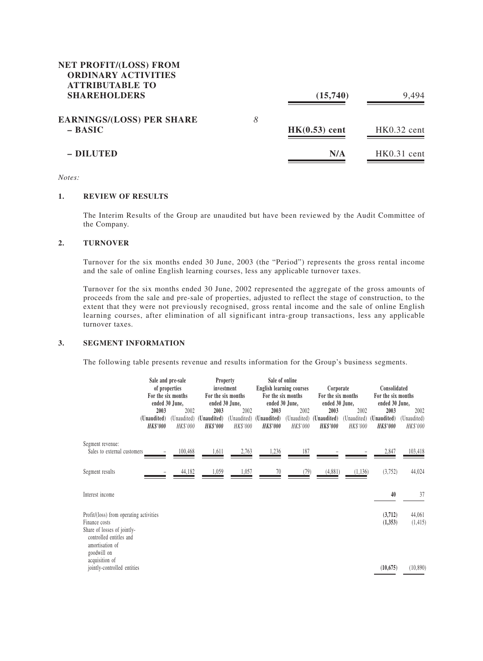## **NET PROFIT/(LOSS) FROM ORDINARY ACTIVITIES ATTRIBUTABLE TO SHAREHOLDERS** (15,740) 9,494

| <b>EARNINGS/(LOSS) PER SHARE</b><br>$-$ BASIC | 8 | $HK(0.53)$ cent | $HK0.32$ cent |
|-----------------------------------------------|---|-----------------|---------------|
| - DILUTED                                     |   | N/A             | $HK0.31$ cent |

*Notes:*

#### **1. REVIEW OF RESULTS**

The Interim Results of the Group are unaudited but have been reviewed by the Audit Committee of the Company.

#### **2. TURNOVER**

Turnover for the six months ended 30 June, 2003 (the "Period") represents the gross rental income and the sale of online English learning courses, less any applicable turnover taxes.

Turnover for the six months ended 30 June, 2002 represented the aggregate of the gross amounts of proceeds from the sale and pre-sale of properties, adjusted to reflect the stage of construction, to the extent that they were not previously recognised, gross rental income and the sale of online English learning courses, after elimination of all significant intra-group transactions, less any applicable turnover taxes.

#### **3. SEGMENT INFORMATION**

The following table presents revenue and results information for the Group's business segments.

|                                                                                                                                                      | Sale and pre-sale<br>of properties<br>For the six months<br>ended 30 June, |                                 | <b>Property</b><br>investment<br>For the six months<br>ended 30 June, |                                 |                                        | Sale of online<br><b>English learning courses</b><br>For the six months<br>ended 30 June, | Corporate<br>For the six months<br>ended 30 June, |                                 | Consolidated<br>For the six months<br>ended 30 June, |                                 |
|------------------------------------------------------------------------------------------------------------------------------------------------------|----------------------------------------------------------------------------|---------------------------------|-----------------------------------------------------------------------|---------------------------------|----------------------------------------|-------------------------------------------------------------------------------------------|---------------------------------------------------|---------------------------------|------------------------------------------------------|---------------------------------|
|                                                                                                                                                      | 2003<br>(Unaudited)<br><b>HK\$'000</b>                                     | 2002<br>(Unaudited)<br>HK\$'000 | 2003<br>(Unaudited)<br><b>HK\$'000</b>                                | 2002<br>(Unaudited)<br>HK\$'000 | 2003<br>(Unaudited)<br><b>HK\$'000</b> | 2002<br>(Unaudited)<br>HK\$'000                                                           | 2003<br>(Unaudited)<br><b>HK\$'000</b>            | 2002<br>(Unaudited)<br>HK\$'000 | 2003<br>(Unaudited)<br><b>HK\$'000</b>               | 2002<br>(Unaudited)<br>HK\$'000 |
| Segment revenue:<br>Sales to external customers                                                                                                      |                                                                            | 100,468                         | 1,611                                                                 | 2,763                           | 1,236                                  | 187                                                                                       |                                                   |                                 | 2,847                                                | 103,418                         |
| Segment results                                                                                                                                      |                                                                            | 44,182                          | 1,059                                                                 | 1,057                           | 70                                     | (79)                                                                                      | (4,881)                                           | (1,136)                         | (3,752)                                              | 44,024                          |
| Interest income                                                                                                                                      |                                                                            |                                 |                                                                       |                                 |                                        |                                                                                           |                                                   |                                 | 40                                                   | 37                              |
| Profit/(loss) from operating activities<br>Finance costs<br>Share of losses of jointly-<br>controlled entitles and<br>amortisation of<br>goodwill on |                                                                            |                                 |                                                                       |                                 |                                        |                                                                                           |                                                   |                                 | (3,712)<br>(1,353)                                   | 44,061<br>(1, 415)              |
| acquisition of<br>jointly-controlled entities                                                                                                        |                                                                            |                                 |                                                                       |                                 |                                        |                                                                                           |                                                   |                                 | (10, 675)                                            | (10, 890)                       |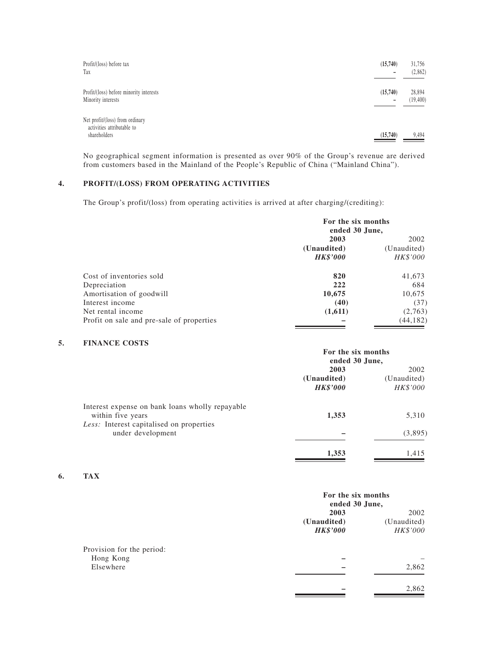| Profit/(loss) before tax<br>Tax                                               | (15,740)      | 31,756<br>(2,862)   |
|-------------------------------------------------------------------------------|---------------|---------------------|
| Profit/(loss) before minority interests<br>Minority interests                 | (15,740)<br>- | 28,894<br>(19, 400) |
| Net profit/(loss) from ordinary<br>activities attributable to<br>shareholders | (15,740)      | 9,494               |

No geographical segment information is presented as over 90% of the Group's revenue are derived from customers based in the Mainland of the People's Republic of China ("Mainland China").

## **4. PROFIT/(LOSS) FROM OPERATING ACTIVITIES**

The Group's profit/(loss) from operating activities is arrived at after charging/(crediting):

|                                           | For the six months<br>ended 30 June, |             |  |
|-------------------------------------------|--------------------------------------|-------------|--|
|                                           | 2003                                 | 2002        |  |
|                                           | (Unaudited)                          | (Unaudited) |  |
|                                           | <b>HK\$'000</b>                      | HK\$'000    |  |
| Cost of inventories sold                  | 820                                  | 41,673      |  |
| Depreciation                              | 222                                  | 684         |  |
| Amortisation of goodwill                  | 10,675                               | 10,675      |  |
| Interest income                           | (40)                                 | (37)        |  |
| Net rental income                         | (1,611)                              | (2,763)     |  |
| Profit on sale and pre-sale of properties |                                      | (44, 182)   |  |

#### **5. FINANCE COSTS**

|                                                                                                                  | For the six months<br>ended 30 June,   |                                 |  |
|------------------------------------------------------------------------------------------------------------------|----------------------------------------|---------------------------------|--|
|                                                                                                                  | 2003<br>(Unaudited)<br><b>HK\$'000</b> | 2002<br>(Unaudited)<br>HK\$'000 |  |
| Interest expense on bank loans wholly repayable<br>within five years<br>Less: Interest capitalised on properties | 1,353                                  | 5,310                           |  |
| under development                                                                                                |                                        | (3,895)                         |  |
|                                                                                                                  | 1,353                                  | 1,415                           |  |

## **6. TAX**

|                           |                 | For the six months<br>ended 30 June, |  |
|---------------------------|-----------------|--------------------------------------|--|
|                           | 2003            | 2002                                 |  |
|                           | (Unaudited)     | (Unaudited)                          |  |
|                           | <b>HK\$'000</b> | HK\$'000                             |  |
| Provision for the period: |                 |                                      |  |
| Hong Kong                 |                 |                                      |  |
| Elsewhere                 |                 | 2,862                                |  |
|                           |                 | 2,862                                |  |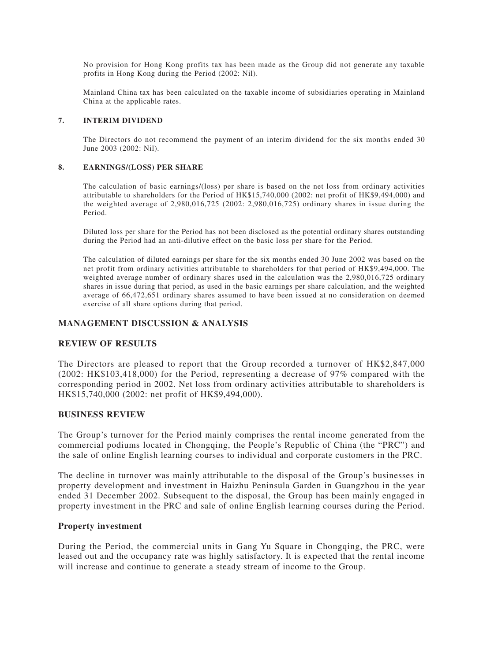No provision for Hong Kong profits tax has been made as the Group did not generate any taxable profits in Hong Kong during the Period (2002: Nil).

Mainland China tax has been calculated on the taxable income of subsidiaries operating in Mainland China at the applicable rates.

#### **7. INTERIM DIVIDEND**

The Directors do not recommend the payment of an interim dividend for the six months ended 30 June 2003 (2002: Nil).

#### **8. EARNINGS/(LOSS) PER SHARE**

The calculation of basic earnings/(loss) per share is based on the net loss from ordinary activities attributable to shareholders for the Period of HK\$15,740,000 (2002: net profit of HK\$9,494,000) and the weighted average of 2,980,016,725 (2002: 2,980,016,725) ordinary shares in issue during the Period.

Diluted loss per share for the Period has not been disclosed as the potential ordinary shares outstanding during the Period had an anti-dilutive effect on the basic loss per share for the Period.

The calculation of diluted earnings per share for the six months ended 30 June 2002 was based on the net profit from ordinary activities attributable to shareholders for that period of HK\$9,494,000. The weighted average number of ordinary shares used in the calculation was the 2,980,016,725 ordinary shares in issue during that period, as used in the basic earnings per share calculation, and the weighted average of 66,472,651 ordinary shares assumed to have been issued at no consideration on deemed exercise of all share options during that period.

#### **MANAGEMENT DISCUSSION & ANALYSIS**

#### **REVIEW OF RESULTS**

The Directors are pleased to report that the Group recorded a turnover of HK\$2,847,000 (2002: HK\$103,418,000) for the Period, representing a decrease of 97% compared with the corresponding period in 2002. Net loss from ordinary activities attributable to shareholders is HK\$15,740,000 (2002: net profit of HK\$9,494,000).

#### **BUSINESS REVIEW**

The Group's turnover for the Period mainly comprises the rental income generated from the commercial podiums located in Chongqing, the People's Republic of China (the "PRC") and the sale of online English learning courses to individual and corporate customers in the PRC.

The decline in turnover was mainly attributable to the disposal of the Group's businesses in property development and investment in Haizhu Peninsula Garden in Guangzhou in the year ended 31 December 2002. Subsequent to the disposal, the Group has been mainly engaged in property investment in the PRC and sale of online English learning courses during the Period.

#### **Property investment**

During the Period, the commercial units in Gang Yu Square in Chongqing, the PRC, were leased out and the occupancy rate was highly satisfactory. It is expected that the rental income will increase and continue to generate a steady stream of income to the Group.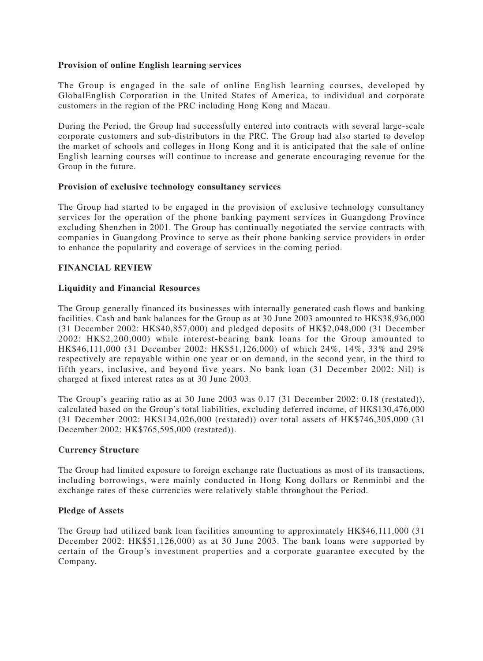## **Provision of online English learning services**

The Group is engaged in the sale of online English learning courses, developed by GlobalEnglish Corporation in the United States of America, to individual and corporate customers in the region of the PRC including Hong Kong and Macau.

During the Period, the Group had successfully entered into contracts with several large-scale corporate customers and sub-distributors in the PRC. The Group had also started to develop the market of schools and colleges in Hong Kong and it is anticipated that the sale of online English learning courses will continue to increase and generate encouraging revenue for the Group in the future.

## **Provision of exclusive technology consultancy services**

The Group had started to be engaged in the provision of exclusive technology consultancy services for the operation of the phone banking payment services in Guangdong Province excluding Shenzhen in 2001. The Group has continually negotiated the service contracts with companies in Guangdong Province to serve as their phone banking service providers in order to enhance the popularity and coverage of services in the coming period.

## **FINANCIAL REVIEW**

## **Liquidity and Financial Resources**

The Group generally financed its businesses with internally generated cash flows and banking facilities. Cash and bank balances for the Group as at 30 June 2003 amounted to HK\$38,936,000 (31 December 2002: HK\$40,857,000) and pledged deposits of HK\$2,048,000 (31 December 2002: HK\$2,200,000) while interest-bearing bank loans for the Group amounted to HK\$46,111,000 (31 December 2002: HK\$51,126,000) of which 24%, 14%, 33% and 29% respectively are repayable within one year or on demand, in the second year, in the third to fifth years, inclusive, and beyond five years. No bank loan (31 December 2002: Nil) is charged at fixed interest rates as at 30 June 2003.

The Group's gearing ratio as at 30 June 2003 was 0.17 (31 December 2002: 0.18 (restated)), calculated based on the Group's total liabilities, excluding deferred income, of HK\$130,476,000 (31 December 2002: HK\$134,026,000 (restated)) over total assets of HK\$746,305,000 (31 December 2002: HK\$765,595,000 (restated)).

## **Currency Structure**

The Group had limited exposure to foreign exchange rate fluctuations as most of its transactions, including borrowings, were mainly conducted in Hong Kong dollars or Renminbi and the exchange rates of these currencies were relatively stable throughout the Period.

## **Pledge of Assets**

The Group had utilized bank loan facilities amounting to approximately HK\$46,111,000 (31 December 2002: HK\$51,126,000) as at 30 June 2003. The bank loans were supported by certain of the Group's investment properties and a corporate guarantee executed by the Company.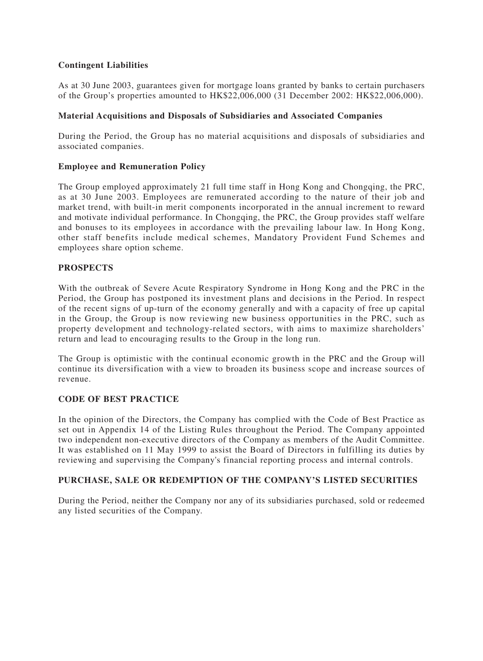## **Contingent Liabilities**

As at 30 June 2003, guarantees given for mortgage loans granted by banks to certain purchasers of the Group's properties amounted to HK\$22,006,000 (31 December 2002: HK\$22,006,000).

## **Material Acquisitions and Disposals of Subsidiaries and Associated Companies**

During the Period, the Group has no material acquisitions and disposals of subsidiaries and associated companies.

## **Employee and Remuneration Policy**

The Group employed approximately 21 full time staff in Hong Kong and Chongqing, the PRC, as at 30 June 2003. Employees are remunerated according to the nature of their job and market trend, with built-in merit components incorporated in the annual increment to reward and motivate individual performance. In Chongqing, the PRC, the Group provides staff welfare and bonuses to its employees in accordance with the prevailing labour law. In Hong Kong, other staff benefits include medical schemes, Mandatory Provident Fund Schemes and employees share option scheme.

## **PROSPECTS**

With the outbreak of Severe Acute Respiratory Syndrome in Hong Kong and the PRC in the Period, the Group has postponed its investment plans and decisions in the Period. In respect of the recent signs of up-turn of the economy generally and with a capacity of free up capital in the Group, the Group is now reviewing new business opportunities in the PRC, such as property development and technology-related sectors, with aims to maximize shareholders' return and lead to encouraging results to the Group in the long run.

The Group is optimistic with the continual economic growth in the PRC and the Group will continue its diversification with a view to broaden its business scope and increase sources of revenue.

## **CODE OF BEST PRACTICE**

In the opinion of the Directors, the Company has complied with the Code of Best Practice as set out in Appendix 14 of the Listing Rules throughout the Period. The Company appointed two independent non-executive directors of the Company as members of the Audit Committee. It was established on 11 May 1999 to assist the Board of Directors in fulfilling its duties by reviewing and supervising the Company's financial reporting process and internal controls.

## **PURCHASE, SALE OR REDEMPTION OF THE COMPANY'S LISTED SECURITIES**

During the Period, neither the Company nor any of its subsidiaries purchased, sold or redeemed any listed securities of the Company.